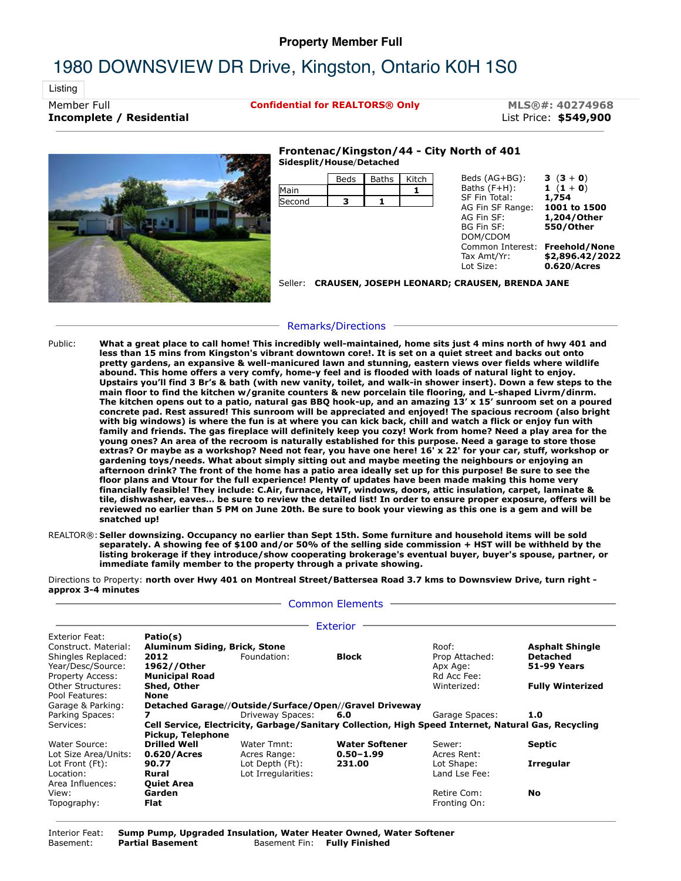## **Property Member Full**

## 1980 DOWNSVIEW DR Drive, Kingston, Ontario K0H 1S0

Listing

**Incomplete / Residential** List Price: **\$549,900**

Member Full **Confidential for REALTORS® Only MLS®#: 40274968**



## **Frontenac/Kingston/44 - City North of 401 Sidesplit/House**/**Detached**

| Beds | <b>Baths</b> | Kitch | Beds (AG+BG):                                | 3 $(3 + 0)$                                                                                                                     |  |  |
|------|--------------|-------|----------------------------------------------|---------------------------------------------------------------------------------------------------------------------------------|--|--|
|      |              |       |                                              | 1 $(1 + 0)$                                                                                                                     |  |  |
| з    |              |       | AG Fin SF Range:<br>AG Fin SF:<br>BG Fin SF: | 1,754<br>1001 to 1500<br>1,204/Other<br>550/Other                                                                               |  |  |
|      |              |       | Tax Amt/Yr:<br>Lot Size:                     | \$2,896.42/2022<br>0.620/Acres                                                                                                  |  |  |
|      |              |       |                                              |                                                                                                                                 |  |  |
|      |              |       |                                              | Baths $(F+H)$ :<br>SF Fin Total:<br>DOM/CDOM<br>Common Interest: Freehold/None<br>CRAUSEN, JOSEPH LEONARD; CRAUSEN, BRENDA JANE |  |  |

## Remarks/Directions

- Public: **What a great place to call home! This incredibly well-maintained, home sits just 4 mins north of hwy 401 and less than 15 mins from Kingston's vibrant downtown core!. It is set on a quiet street and backs out onto pretty gardens, an expansive & well-manicured lawn and stunning, eastern views over fields where wildlife abound. This home offers a very comfy, home-y feel and is flooded with loads of natural light to enjoy. Upstairs you'll find 3 Br's & bath (with new vanity, toilet, and walk-in shower insert). Down a few steps to the main floor to find the kitchen w/granite counters & new porcelain tile flooring, and L-shaped Livrm/dinrm. The kitchen opens out to a patio, natural gas BBQ hook-up, and an amazing 13' x 15' sunroom set on a poured concrete pad. Rest assured! This sunroom will be appreciated and enjoyed! The spacious recroom (also bright with big windows) is where the fun is at where you can kick back, chill and watch a flick or enjoy fun with family and friends. The gas fireplace will definitely keep you cozy! Work from home? Need a play area for the young ones? An area of the recroom is naturally established for this purpose. Need a garage to store those extras? Or maybe as a workshop? Need not fear, you have one here! 16' x 22' for your car, stuff, workshop or gardening toys/needs. What about simply sitting out and maybe meeting the neighbours or enjoying an afternoon drink? The front of the home has a patio area ideally set up for this purpose! Be sure to see the floor plans and Vtour for the full experience! Plenty of updates have been made making this home very financially feasible! They include: C.Air, furnace, HWT, windows, doors, attic insulation, carpet, laminate & tile, dishwasher, eaves… be sure to review the detailed list! In order to ensure proper exposure, offers will be reviewed no earlier than 5 PM on June 20th. Be sure to book your viewing as this one is a gem and will be snatched up!**
- REALTOR®: **Seller downsizing. Occupancy no earlier than Sept 15th. Some furniture and household items will be sold separately. A showing fee of \$100 and/or 50% of the selling side commission + HST will be withheld by the listing brokerage if they introduce/show cooperating brokerage's eventual buyer, buyer's spouse, partner, or immediate family member to the property through a private showing.**

Directions to Property: **north over Hwy 401 on Montreal Street/Battersea Road 3.7 kms to Downsview Drive, turn right approx 3-4 minutes**

Common Elements

|                         |                               |                                                                                                     | Exterior              |                |                         |
|-------------------------|-------------------------------|-----------------------------------------------------------------------------------------------------|-----------------------|----------------|-------------------------|
| Exterior Feat:          | Patio(s)                      |                                                                                                     |                       |                |                         |
| Construct. Material:    | Aluminum Siding, Brick, Stone |                                                                                                     |                       | Roof:          | <b>Asphalt Shingle</b>  |
| Shingles Replaced:      | 2012                          | Foundation:                                                                                         | <b>Block</b>          | Prop Attached: | Detached                |
| Year/Desc/Source:       | 1962//Other                   |                                                                                                     |                       | Apx Age:       | <b>51-99 Years</b>      |
| <b>Property Access:</b> | <b>Municipal Road</b>         |                                                                                                     |                       | Rd Acc Fee:    |                         |
| Other Structures:       | Shed, Other                   |                                                                                                     |                       | Winterized:    | <b>Fully Winterized</b> |
| Pool Features:          | <b>None</b>                   |                                                                                                     |                       |                |                         |
| Garage & Parking:       |                               | Detached Garage//Outside/Surface/Open//Gravel Driveway                                              |                       |                |                         |
| Parking Spaces:         |                               | Driveway Spaces:                                                                                    | 6.0                   | Garage Spaces: | 1.0                     |
| Services:               |                               | Cell Service, Electricity, Garbage/Sanitary Collection, High Speed Internet, Natural Gas, Recycling |                       |                |                         |
|                         | Pickup, Telephone             |                                                                                                     |                       |                |                         |
| Water Source:           | <b>Drilled Well</b>           | Water Tmnt:                                                                                         | <b>Water Softener</b> | Sewer:         | Septic                  |
| Lot Size Area/Units:    | 0.620/Acres                   | Acres Range:                                                                                        | $0.50 - 1.99$         | Acres Rent:    |                         |
| Lot Front (Ft):         | 90.77                         | Lot Depth (Ft):                                                                                     | 231.00                | Lot Shape:     | <b>Irregular</b>        |
| Location:               | Rural                         | Lot Irregularities:                                                                                 |                       | Land Lse Fee:  |                         |
| Area Influences:        | <b>Oujet Area</b>             |                                                                                                     |                       |                |                         |
| View:                   | Garden                        |                                                                                                     |                       | Retire Com:    | No                      |
| Topography:             | Flat                          |                                                                                                     |                       | Fronting On:   |                         |